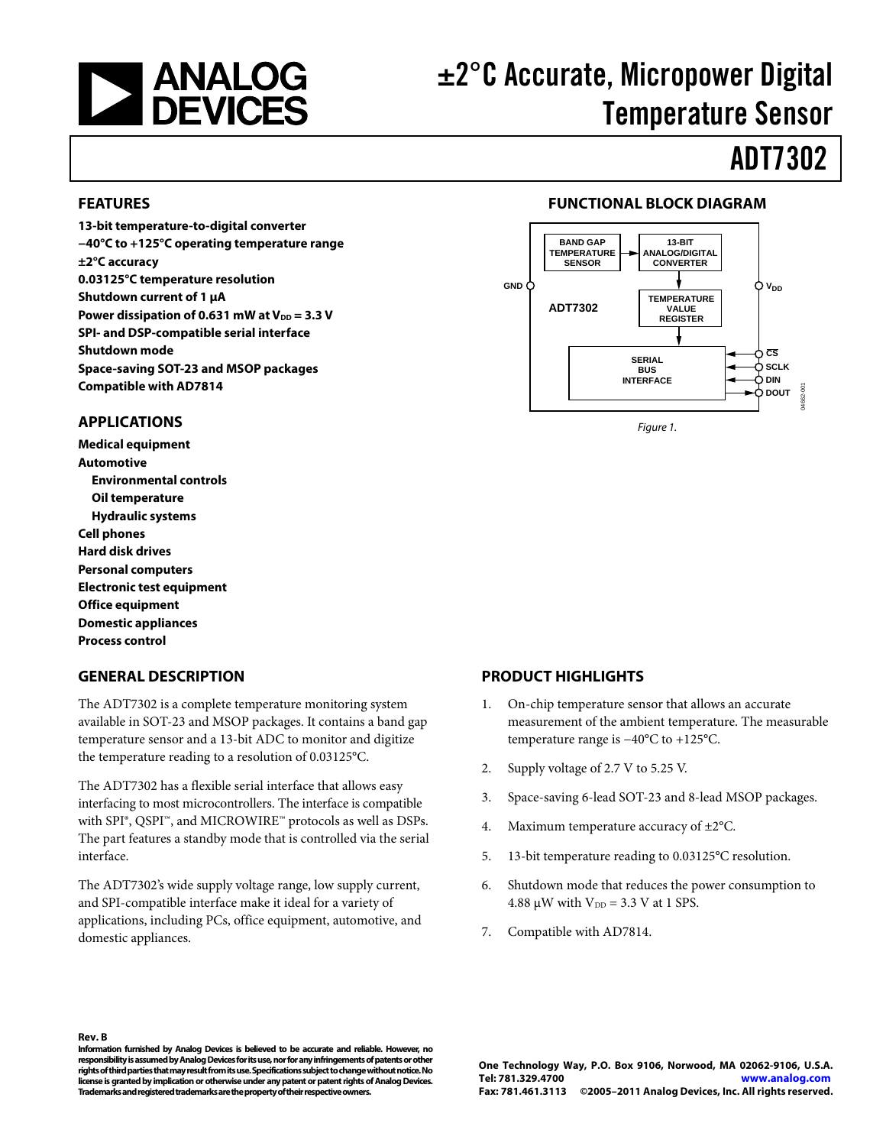

# ±2°C Accurate, Micropower Digital Temperature Sensor

# ADT7302

#### <span id="page-0-0"></span>**FEATURES**

**13-bit temperature-to-digital converter −40°C to +125°C operating temperature range ±2°C accuracy 0.03125°C temperature resolution Shutdown current of 1 μA**  Power dissipation of 0.631 mW at  $V_{DD} = 3.3 V$ **SPI- and DSP-compatible serial interface Shutdown mode Space-saving SOT-23 and MSOP packages Compatible with AD7814** 

### <span id="page-0-1"></span>**APPLICATIONS**

**Medical equipment Automotive Environmental controls Oil temperature Hydraulic systems Cell phones Hard disk drives Personal computers Electronic test equipment Office equipment Domestic appliances Process control** 

### <span id="page-0-3"></span>**GENERAL DESCRIPTION**

The ADT7302 is a complete temperature monitoring system available in SOT-23 and MSOP packages. It contains a band gap temperature sensor and a 13-bit ADC to monitor and digitize the temperature reading to a resolution of 0.03125°C.

The ADT7302 has a flexible serial interface that allows easy interfacing to most microcontrollers. The interface is compatible with SPI®, QSPI™, and MICROWIRE™ protocols as well as DSPs. The part features a standby mode that is controlled via the serial interface.

The ADT7302's wide supply voltage range, low supply current, and SPI-compatible interface make it ideal for a variety of applications, including PCs, office equipment, automotive, and domestic appliances.

### **FUNCTIONAL BLOCK DIAGRAM**

<span id="page-0-2"></span>

Figure 1.

#### <span id="page-0-4"></span>**PRODUCT HIGHLIGHTS**

- 1. On-chip temperature sensor that allows an accurate measurement of the ambient temperature. The measurable temperature range is −40°C to +125°C.
- 2. Supply voltage of 2.7 V to 5.25 V.
- 3. Space-saving 6-lead SOT-23 and 8-lead MSOP packages.
- 4. Maximum temperature accuracy of ±2°C.
- 5. 13-bit temperature reading to 0.03125°C resolution.
- 6. Shutdown mode that reduces the power consumption to 4.88  $\mu$ W with  $V_{DD} = 3.3$  V at 1 SPS.
- 7. Compatible with AD7814.

**Rev. B** 

**Information furnished by Analog Devices is believed to be accurate and reliable. However, no responsibility is assumed by Analog Devices for its use, nor for any infringements of patents or other rights of third parties that may result from its use. Specifications subject to change without notice. No license is granted by implication or otherwise under any patent or patent rights of Analog Devices. Trademarks and registered trademarks are the property of their respective owners.**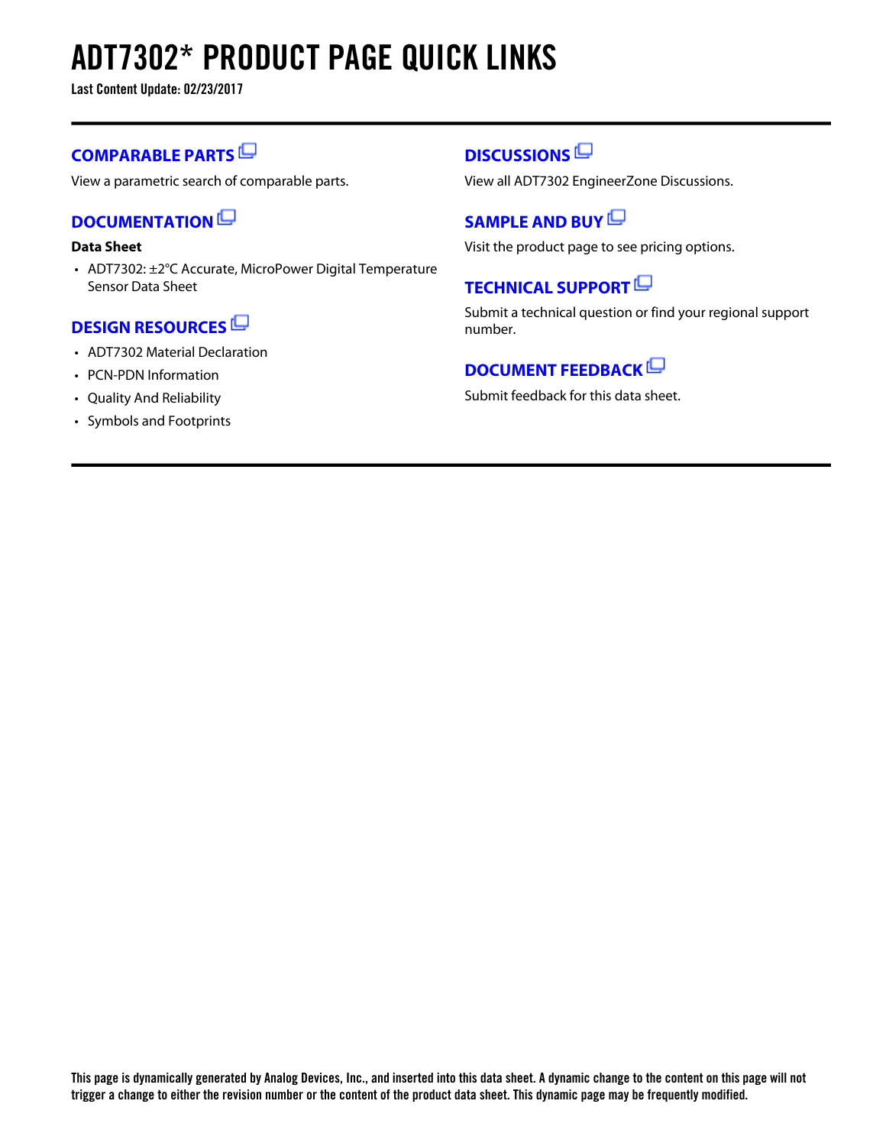# **ADT7302\* PRODUCT PAGE QUICK LINKS**

**Last Content Update: 02/23/2017**

### **[COMPARABLE PARTS](http://www.analog.com/parametricsearch/en/11020?doc=ADT7302.pdf&p0=1&lsrc=pst)**

View a parametric search of comparable parts.

### **[DOCUMENTATION](http://www.analog.com/adt7302/documentation?doc=ADT7302.pdf&p0=1&lsrc=doc)**

### **Data Sheet**

• ADT7302: ±2°C Accurate, MicroPower Digital Temperature Sensor Data Sheet

### **[DESIGN RESOURCES](http://www.analog.com/adt7302/designsources?doc=ADT7302.pdf&p0=1&lsrc=dr)**

- ADT7302 Material Declaration
- PCN-PDN Information
- Quality And Reliability
- Symbols and Footprints

### **[DISCUSSIONS](http://www.analog.com/adt7302/discussions?doc=ADT7302.pdf&p0=1&lsrc=disc)**

View all ADT7302 EngineerZone Discussions.

### **[SAMPLE AND BUY](http://www.analog.com/adt7302/sampleandbuy?doc=ADT7302.pdf&p0=1&lsrc=sb)**

Visit the product page to see pricing options.

### **[TECHNICAL SUPPORT](http://www.analog.com/support/technical-support.html?doc=ADT7302.pdf&p0=1&lsrc=techs)**

Submit a technical question or find your regional support number.

### **[DOCUMENT FEEDBACK](https://form.analog.com/Form_Pages/feedback/documentfeedback.aspx?doc=ADT7302.pdf&product=ADT7302&p0=1&lsrc=dfs)**

Submit feedback for this data sheet.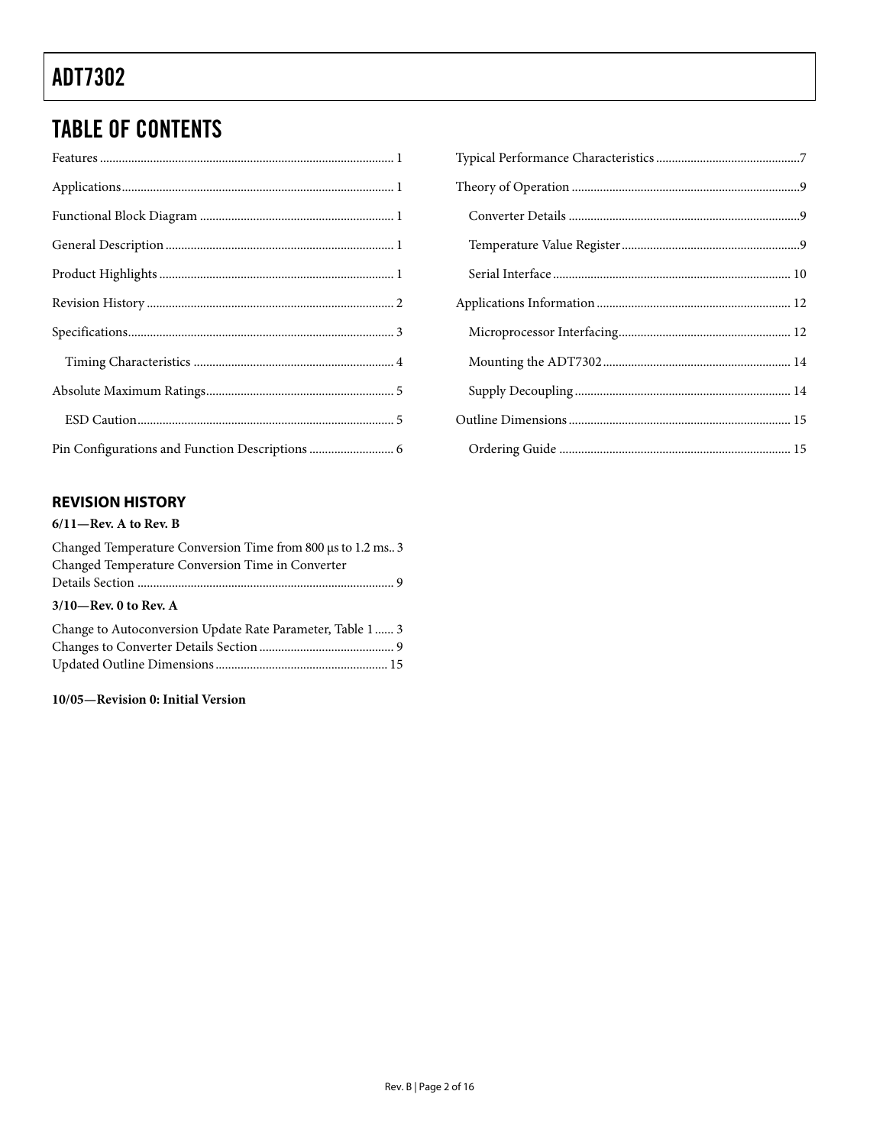# TABLE OF CONTENTS

### <span id="page-2-0"></span>**REVISION HISTORY**

#### **6/11—Rev. A to Rev. B**

| Changed Temperature Conversion Time from 800 µs to 1.2 ms. 3 |
|--------------------------------------------------------------|
| Changed Temperature Conversion Time in Converter             |
|                                                              |
| $3/10$ -Rev. 0 to Rev. A                                     |
| Change to Autoconversion Update Rate Parameter, Table 1  3   |
|                                                              |
|                                                              |
|                                                              |

### **10/05—Revision 0: Initial Version**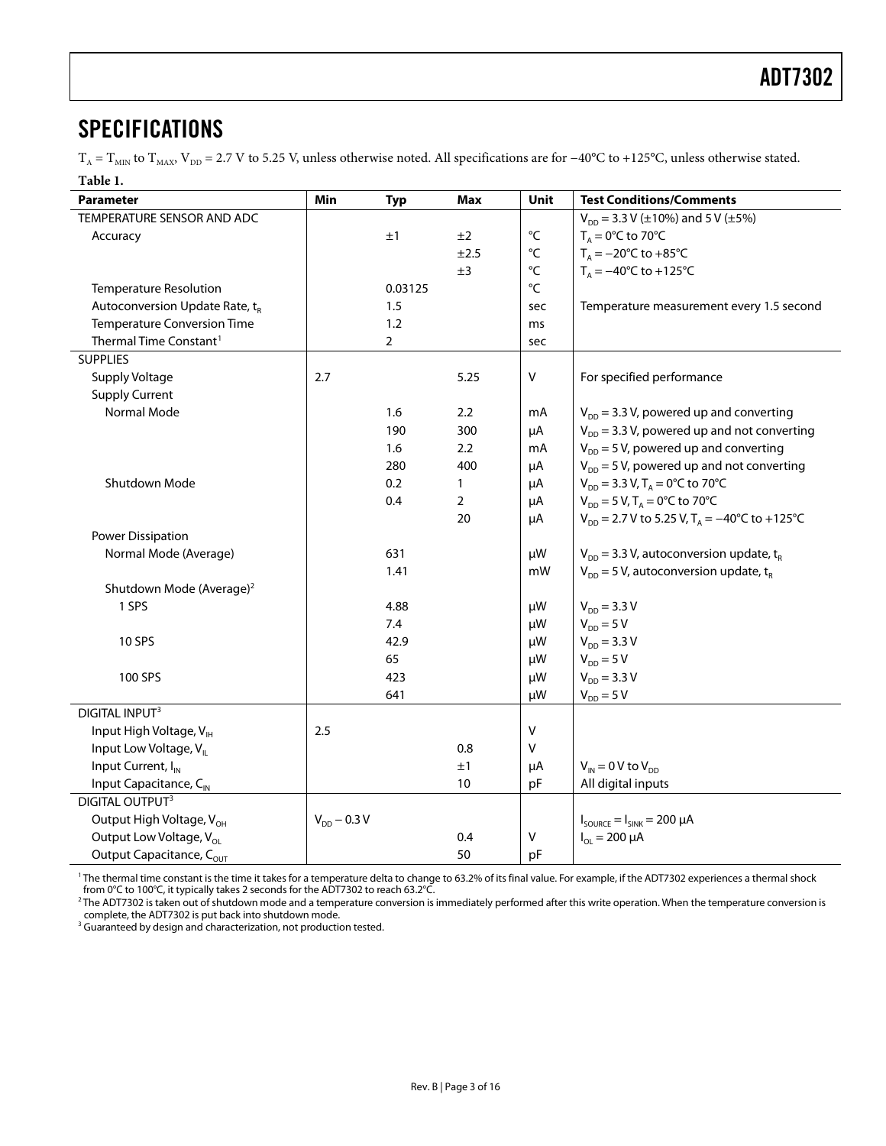### <span id="page-3-0"></span>SPECIFICATIONS

 $T_A = T_{MIN}$  to  $T_{MAX}$ ,  $V_{DD} = 2.7$  V to 5.25 V, unless otherwise noted. All specifications are for −40°C to +125°C, unless otherwise stated.

| Table 1.                                   |                  |                |                  |                   |                                                              |
|--------------------------------------------|------------------|----------------|------------------|-------------------|--------------------------------------------------------------|
| <b>Parameter</b>                           | <b>Min</b>       | <b>Typ</b>     | <b>Max</b>       | Unit              | <b>Test Conditions/Comments</b>                              |
| TEMPERATURE SENSOR AND ADC                 |                  |                |                  |                   | $V_{DD}$ = 3.3 V (±10%) and 5 V (±5%)                        |
| Accuracy                                   |                  | ±1             | ±2               | °C                | $T_A = 0^\circ C$ to 70°C                                    |
|                                            |                  |                | ±2.5             | $^{\circ}{\sf C}$ | $T_A = -20$ °C to +85°C                                      |
|                                            |                  |                | ±3               | $^{\circ}{\sf C}$ | $T_A = -40^{\circ}C$ to $+125^{\circ}C$                      |
| <b>Temperature Resolution</b>              |                  | 0.03125        |                  | $\mathrm{C}$      |                                                              |
| Autoconversion Update Rate, t <sub>R</sub> |                  | 1.5            |                  | sec               | Temperature measurement every 1.5 second                     |
| <b>Temperature Conversion Time</b>         |                  | 1.2            |                  | ms                |                                                              |
| Thermal Time Constant <sup>1</sup>         |                  | $\overline{2}$ |                  | sec               |                                                              |
| <b>SUPPLIES</b>                            |                  |                |                  |                   |                                                              |
| Supply Voltage                             | 2.7              |                | 5.25             | $\vee$            | For specified performance                                    |
| <b>Supply Current</b>                      |                  |                |                  |                   |                                                              |
| Normal Mode                                |                  | 1.6            | $2.2\phantom{0}$ | mA                | $V_{DD}$ = 3.3 V, powered up and converting                  |
|                                            |                  | 190            | 300              | μA                | $V_{DD}$ = 3.3 V, powered up and not converting              |
|                                            |                  | 1.6            | $2.2\phantom{0}$ | mA                | $V_{DD}$ = 5 V, powered up and converting                    |
|                                            |                  | 280            | 400              | μA                | $V_{DD}$ = 5 V, powered up and not converting                |
| Shutdown Mode                              |                  | 0.2            | 1                | μA                | $V_{DD} = 3.3 V, T_A = 0$ °C to 70°C                         |
|                                            |                  | 0.4            | $\overline{2}$   | μA                | $V_{DD} = 5 V$ , T <sub>A</sub> = 0°C to 70°C                |
|                                            |                  |                | 20               | μA                | $V_{DD}$ = 2.7 V to 5.25 V, T <sub>A</sub> = -40°C to +125°C |
| Power Dissipation                          |                  |                |                  |                   |                                                              |
| Normal Mode (Average)                      |                  | 631            |                  | μW                | $V_{DD}$ = 3.3 V, autoconversion update, t <sub>R</sub>      |
|                                            |                  | 1.41           |                  | mW                | $V_{DD}$ = 5 V, autoconversion update, t <sub>R</sub>        |
| Shutdown Mode (Average) <sup>2</sup>       |                  |                |                  |                   |                                                              |
| 1 SPS                                      |                  | 4.88           |                  | μW                | $V_{DD} = 3.3 V$                                             |
|                                            |                  | 7.4            |                  | μW                | $V_{DD} = 5 V$                                               |
| <b>10 SPS</b>                              |                  | 42.9           |                  | μW                | $V_{DD} = 3.3 V$                                             |
|                                            |                  | 65             |                  | μW                | $V_{DD} = 5 V$                                               |
| 100 SPS                                    |                  | 423            |                  | μW                | $V_{DD} = 3.3 V$                                             |
|                                            |                  | 641            |                  | μW                | $V_{DD} = 5 V$                                               |
| <b>DIGITAL INPUT3</b>                      |                  |                |                  |                   |                                                              |
| Input High Voltage, VIH                    | 2.5              |                |                  | $\vee$            |                                                              |
| Input Low Voltage, V <sub>II</sub>         |                  |                | 0.8              | V                 |                                                              |
| Input Current, I <sub>N</sub>              |                  |                | ±1               | μA                | $V_{IN}$ = 0 V to $V_{DD}$                                   |
| Input Capacitance, C <sub>IN</sub>         |                  |                | 10               | pF                | All digital inputs                                           |
| <b>DIGITAL OUTPUT3</b>                     |                  |                |                  |                   |                                                              |
| Output High Voltage, V <sub>OH</sub>       | $V_{DD}$ – 0.3 V |                |                  |                   | $I_{\text{SOURCE}} = I_{\text{SINK}} = 200 \mu A$            |
| Output Low Voltage, V <sub>ol</sub>        |                  |                | 0.4              | $\mathsf{V}$      | $I_{OL} = 200 \mu A$                                         |
| Output Capacitance, COUT                   |                  |                | 50               | pF                |                                                              |

<span id="page-3-1"></span><sup>1</sup>The thermal time constant is the time it takes for a temperature delta to change to 63.2% of its final value. For example, if the ADT7302 experiences a thermal shock from 0°C to 100°C, it typically takes 2 seconds for the ADT7302 to reach 63.2°C.

<sup>2</sup>The ADT7302 is taken out of shutdown mode and a temperature conversion is immediately performed after this write operation. When the temperature conversion is complete, the ADT7302 is put back into shutdown mode.

<sup>3</sup> Guaranteed by design and characterization, not production tested.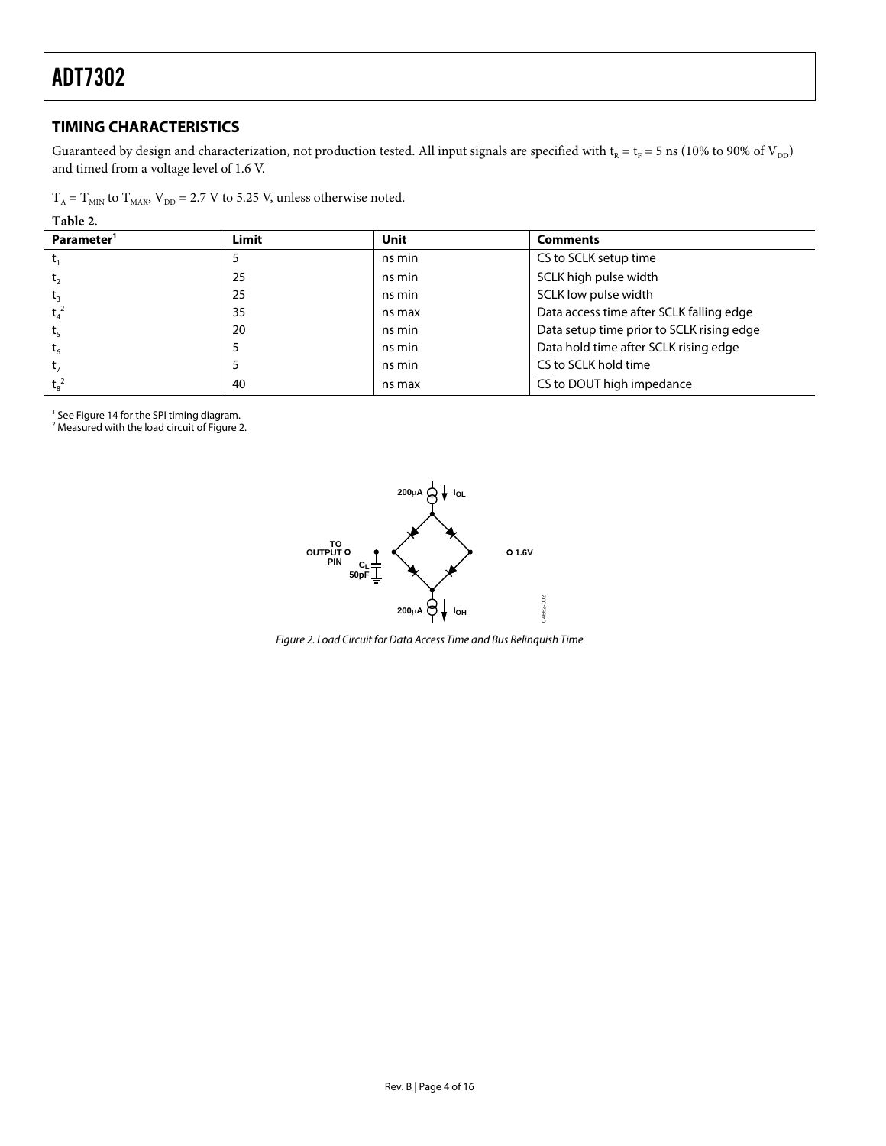### <span id="page-4-0"></span>**TIMING CHARACTERISTICS**

Guaranteed by design and characterization, not production tested. All input signals are specified with  $t_R = t_F = 5$  ns (10% to 90% of  $V_{DD}$ ) and timed from a voltage level of 1.6 V.

| $T_A = T_{MIN}$ to $T_{MAX}$ , $V_{DD} = 2.7$ V to 5.25 V, unless otherwise noted. |  |
|------------------------------------------------------------------------------------|--|
|------------------------------------------------------------------------------------|--|

**Table 2.** 

| Parameter <sup>1</sup> | Limit | Unit   | <b>Comments</b>                           |
|------------------------|-------|--------|-------------------------------------------|
|                        |       | ns min | CS to SCLK setup time                     |
| t <sub>2</sub>         | 25    | ns min | SCLK high pulse width                     |
|                        | 25    | ns min | SCLK low pulse width                      |
| $t_4$                  | 35    | ns max | Data access time after SCLK falling edge  |
|                        | 20    | ns min | Data setup time prior to SCLK rising edge |
| $t_{6}$                |       | ns min | Data hold time after SCLK rising edge     |
|                        |       | ns min | $\overline{\text{CS}}$ to SCLK hold time  |
|                        | 40    | ns max | CS to DOUT high impedance                 |

<sup>1</sup> Se[e Figure 14](#page-10-1) for the SPI timing diagram.

<span id="page-4-1"></span> $2$  Measured with the load circuit of [Figure 2.](#page-4-1)



*Figure 2. Load Circuit for Data Access Time and Bus Relinquish Time*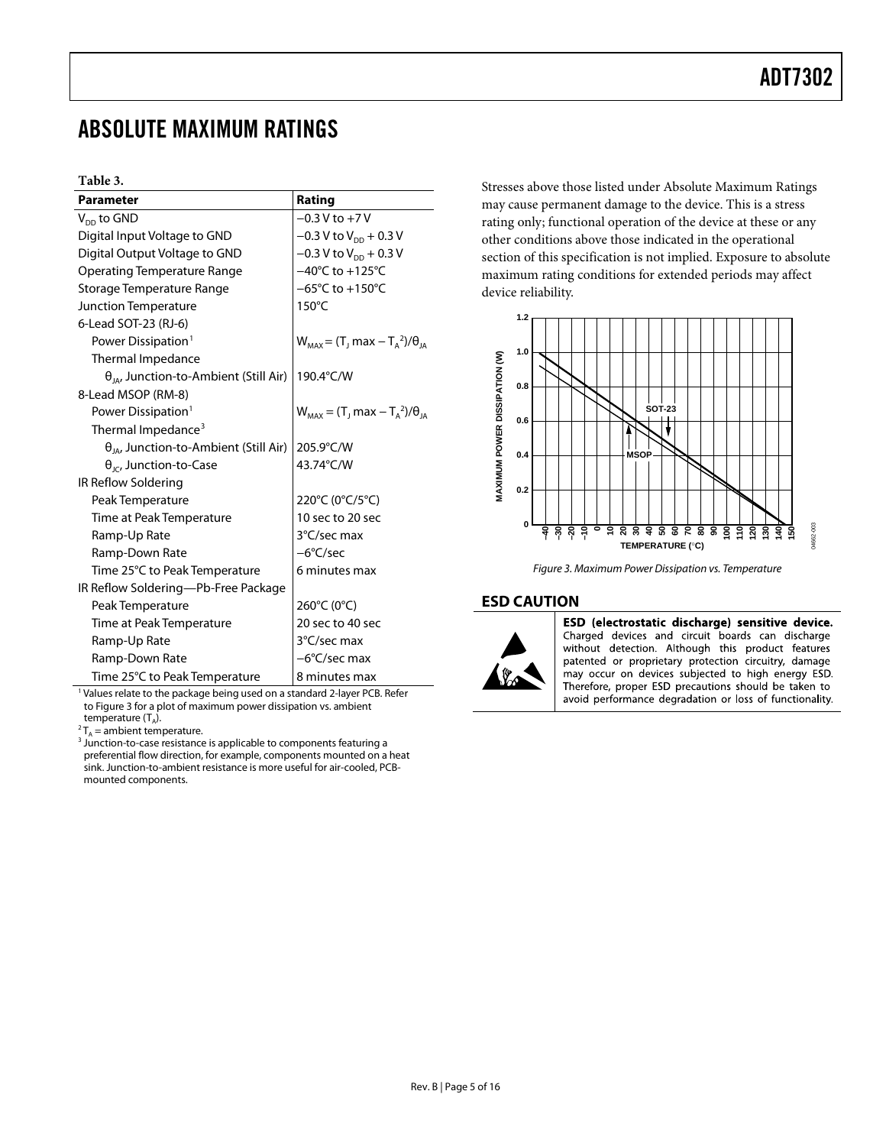### <span id="page-5-0"></span>ABSOLUTE MAXIMUM RATINGS

#### **Table 3.**

| <b>Parameter</b>                                | Rating                                           |
|-------------------------------------------------|--------------------------------------------------|
| $V_{DD}$ to GND                                 | $-0.3 V$ to $+7V$                                |
| Digital Input Voltage to GND                    | $-0.3$ V to V <sub>DD</sub> + 0.3 V              |
| Digital Output Voltage to GND                   | $-0.3$ V to $V_{DD}$ + 0.3 V                     |
| <b>Operating Temperature Range</b>              | $-40^{\circ}$ C to $+125^{\circ}$ C              |
| Storage Temperature Range                       | $-65^{\circ}$ C to $+150^{\circ}$ C              |
| Junction Temperature                            | $150^{\circ}$ C                                  |
| 6-Lead SOT-23 (RJ-6)                            |                                                  |
| Power Dissipation <sup>1</sup>                  | $W_{MAX} = (T_1 \text{max} - T_A^2)/\theta_{IA}$ |
| Thermal Impedance                               |                                                  |
| $\theta_{IA}$ , Junction-to-Ambient (Still Air) | 190.4°C/W                                        |
| 8-Lead MSOP (RM-8)                              |                                                  |
| Power Dissipation <sup>1</sup>                  | $W_{MAX} = (T_1 max - T_A^2)/\theta_{IA}$        |
| Thermal Impedance <sup>3</sup>                  |                                                  |
| $\theta_{IA}$ , Junction-to-Ambient (Still Air) | 205.9°C/W                                        |
| $\theta_{\text{IC}}$ , Junction-to-Case         | 43.74°C/W                                        |
| IR Reflow Soldering                             |                                                  |
| Peak Temperature                                | 220°C (0°C/5°C)                                  |
| Time at Peak Temperature                        | 10 sec to 20 sec                                 |
| Ramp-Up Rate                                    | 3°C/sec max                                      |
| Ramp-Down Rate                                  | $-6^{\circ}$ C/sec                               |
| Time 25°C to Peak Temperature                   | 6 minutes max                                    |
| IR Reflow Soldering-Pb-Free Package             |                                                  |
| Peak Temperature                                | 260°C (0°C)                                      |
| Time at Peak Temperature                        | 20 sec to 40 sec                                 |
| Ramp-Up Rate                                    | 3°C/sec max                                      |
| Ramp-Down Rate                                  | $-6^{\circ}$ C/sec max                           |
| Time 25°C to Peak Temperature                   | 8 minutes max                                    |

<span id="page-5-3"></span><sup>1</sup> Values relate to the package being used on a standard 2-layer PCB. Refer to [Figure 3](#page-5-2) for a plot of maximum power dissipation vs. ambient temperature  $(T_A)$ .

<span id="page-5-5"></span><span id="page-5-4"></span> ${}^{2}T_{A}$  = ambient temperature.<br> ${}^{3}$  Junction-to-case resistance is applicable to components featuring a preferential flow direction, for example, components mounted on a heat sink. Junction-to-ambient resistance is more useful for air-cooled, PCBmounted components.

Stresses above those listed under Absolute Maximum Ratings may cause permanent damage to the device. This is a stress rating only; functional operation of the device at these or any other conditions above those indicated in the operational section of this specification is not implied. Exposure to absolute maximum rating conditions for extended periods may affect device reliability.



*Figure 3. Maximum Power Dissipation vs. Temperature*

#### <span id="page-5-2"></span><span id="page-5-1"></span>**ESD CAUTION**



ESD (electrostatic discharge) sensitive device. Charged devices and circuit boards can discharge without detection. Although this product features patented or proprietary protection circuitry, damage may occur on devices subjected to high energy ESD. Therefore, proper ESD precautions should be taken to avoid performance degradation or loss of functionality.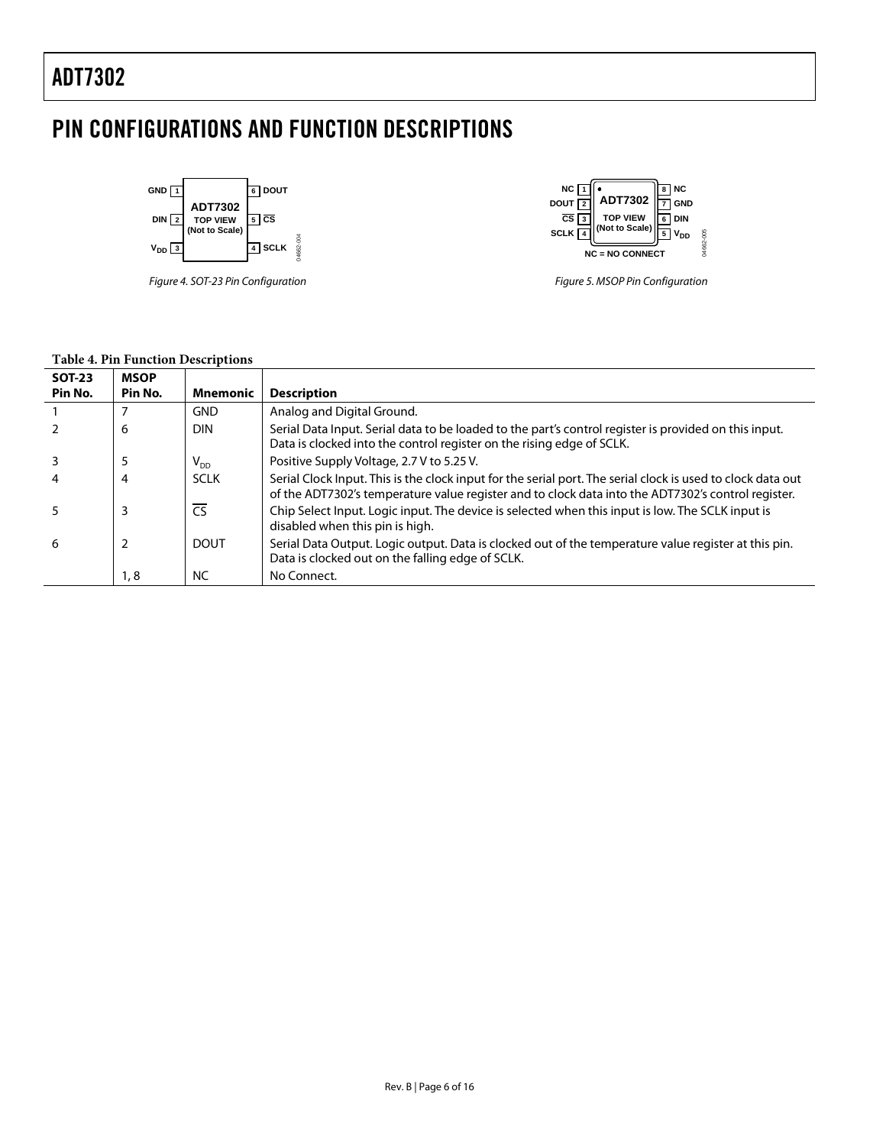## <span id="page-6-0"></span>PIN CONFIGURATIONS AND FUNCTION DESCRIPTIONS



*Figure 4. SOT-23 Pin Configuration*



*Figure 5. MSOP Pin Configuration*

### **Table 4. Pin Function Descriptions**

|     | Pin No.<br><b>Mnemonic</b> | <b>Description</b>                                                                                                                                                                                                |
|-----|----------------------------|-------------------------------------------------------------------------------------------------------------------------------------------------------------------------------------------------------------------|
|     | <b>GND</b>                 | Analog and Digital Ground.                                                                                                                                                                                        |
| 6   | <b>DIN</b>                 | Serial Data Input. Serial data to be loaded to the part's control register is provided on this input.<br>Data is clocked into the control register on the rising edge of SCLK.                                    |
| 5   | $\mathsf{V}_{\mathsf{DD}}$ | Positive Supply Voltage, 2.7 V to 5.25 V.                                                                                                                                                                         |
| 4   | <b>SCLK</b>                | Serial Clock Input. This is the clock input for the serial port. The serial clock is used to clock data out<br>of the ADT7302's temperature value register and to clock data into the ADT7302's control register. |
| 3   | $\overline{\text{CS}}$     | Chip Select Input. Logic input. The device is selected when this input is low. The SCLK input is<br>disabled when this pin is high.                                                                               |
| 6   | <b>DOUT</b>                | Serial Data Output. Logic output. Data is clocked out of the temperature value register at this pin.<br>Data is clocked out on the falling edge of SCLK.                                                          |
| 1,8 | <b>NC</b>                  | No Connect.                                                                                                                                                                                                       |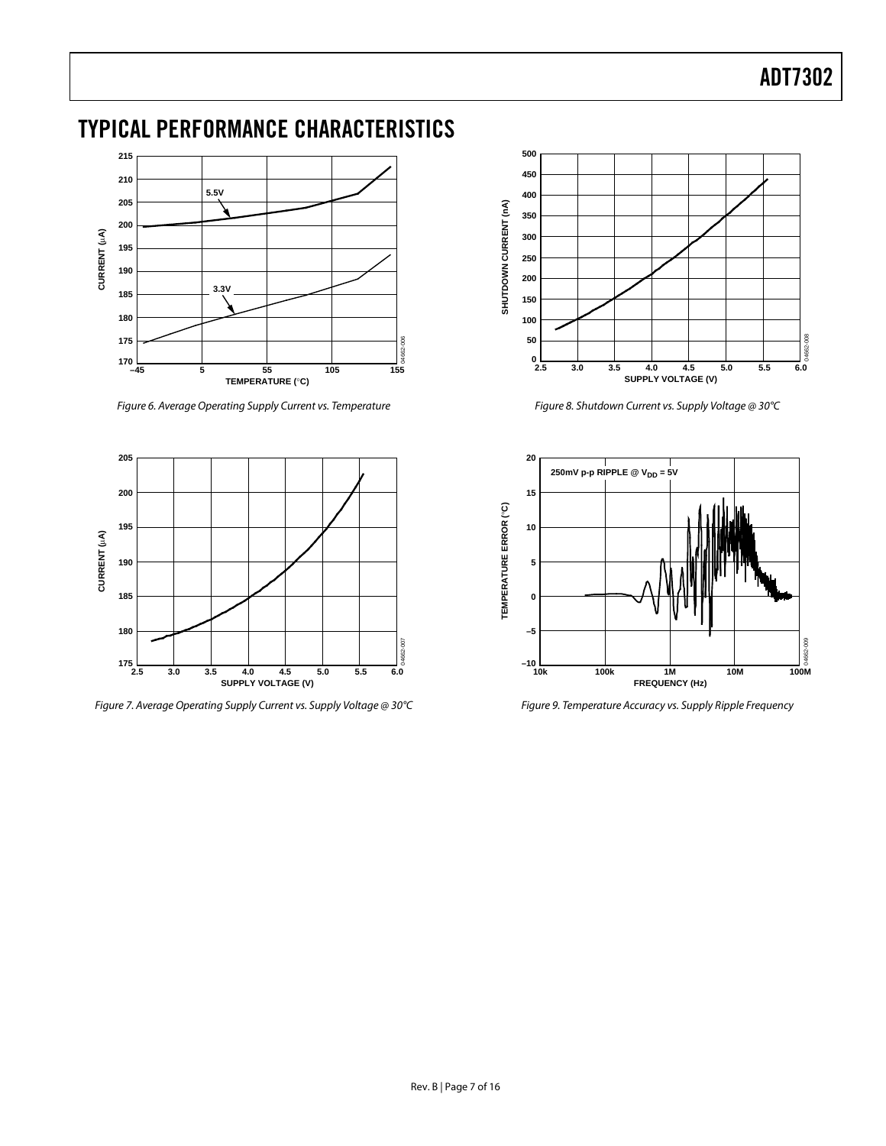## <span id="page-7-0"></span>TYPICAL PERFORMANCE CHARACTERISTICS



*Figure 6. Average Operating Supply Current vs. Temperature*



*Figure 7. Average Operating Supply Current vs. Supply Voltage @ 30°C*



*Figure 8. Shutdown Current vs. Supply Voltage @ 30°C*



*Figure 9. Temperature Accuracy vs. Supply Ripple Frequency*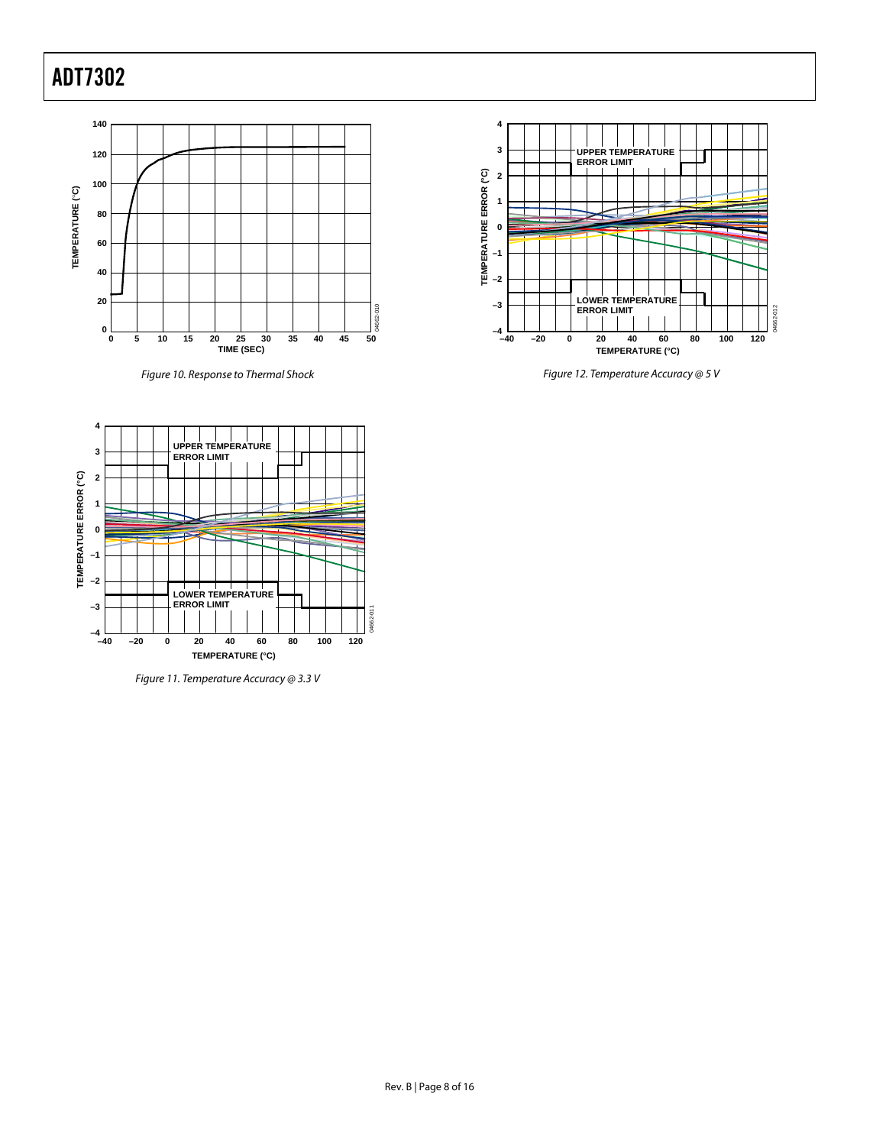

*Figure 10. Response to Thermal Shock*



*Figure 12. Temperature Accuracy @ 5 V*



<span id="page-8-0"></span>*Figure 11. Temperature Accuracy @ 3.3 V*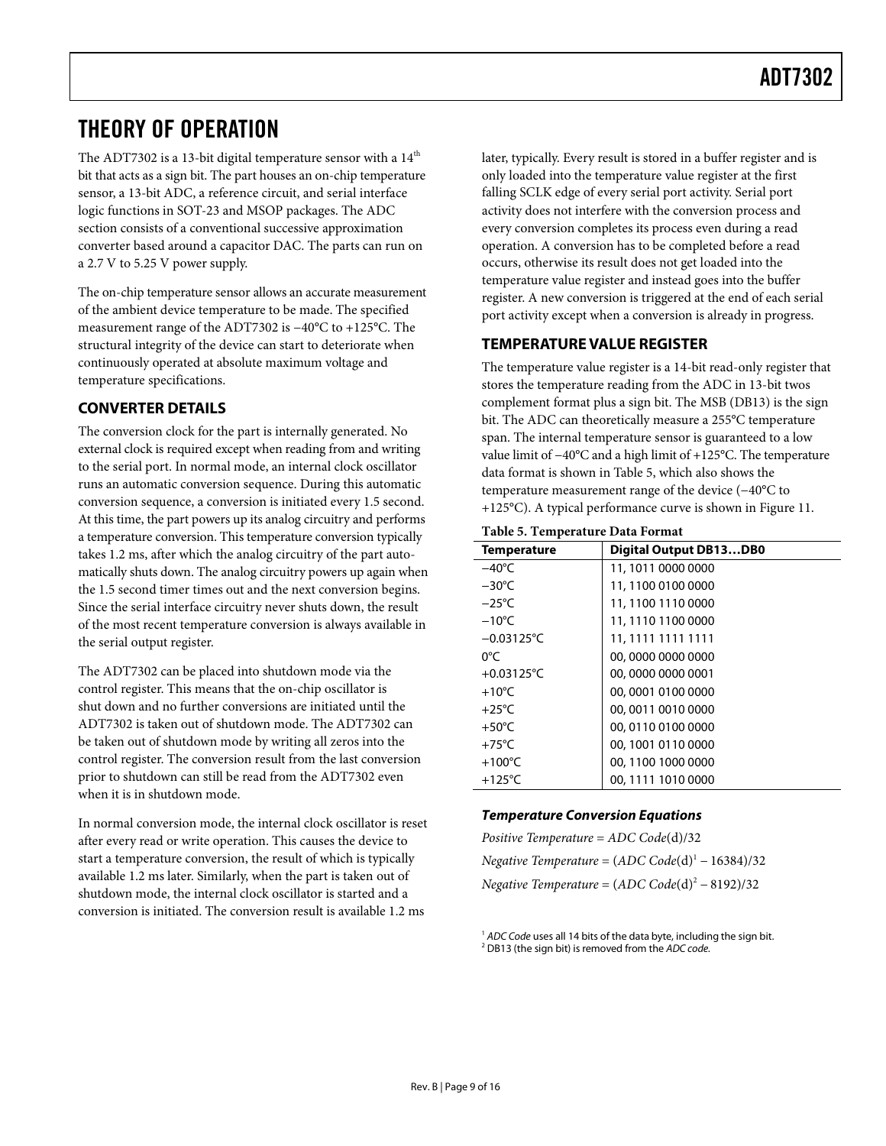### <span id="page-9-0"></span>THEORY OF OPERATION

The ADT7302 is a 13-bit digital temperature sensor with a  $14<sup>th</sup>$ bit that acts as a sign bit. The part houses an on-chip temperature sensor, a 13-bit ADC, a reference circuit, and serial interface logic functions in SOT-23 and MSOP packages. The ADC section consists of a conventional successive approximation converter based around a capacitor DAC. The parts can run on a 2.7 V to 5.25 V power supply.

The on-chip temperature sensor allows an accurate measurement of the ambient device temperature to be made. The specified measurement range of the ADT7302 is −40°C to +125°C. The structural integrity of the device can start to deteriorate when continuously operated at absolute maximum voltage and temperature specifications.

### <span id="page-9-1"></span>**CONVERTER DETAILS**

The conversion clock for the part is internally generated. No external clock is required except when reading from and writing to the serial port. In normal mode, an internal clock oscillator runs an automatic conversion sequence. During this automatic conversion sequence, a conversion is initiated every 1.5 second. At this time, the part powers up its analog circuitry and performs a temperature conversion. This temperature conversion typically takes 1.2 ms, after which the analog circuitry of the part automatically shuts down. The analog circuitry powers up again when the 1.5 second timer times out and the next conversion begins. Since the serial interface circuitry never shuts down, the result of the most recent temperature conversion is always available in the serial output register.

The ADT7302 can be placed into shutdown mode via the control register. This means that the on-chip oscillator is shut down and no further conversions are initiated until the ADT7302 is taken out of shutdown mode. The ADT7302 can be taken out of shutdown mode by writing all zeros into the control register. The conversion result from the last conversion prior to shutdown can still be read from the ADT7302 even when it is in shutdown mode.

In normal conversion mode, the internal clock oscillator is reset after every read or write operation. This causes the device to start a temperature conversion, the result of which is typically available 1.2 ms later. Similarly, when the part is taken out of shutdown mode, the internal clock oscillator is started and a conversion is initiated. The conversion result is available 1.2 ms

later, typically. Every result is stored in a buffer register and is only loaded into the temperature value register at the first falling SCLK edge of every serial port activity. Serial port activity does not interfere with the conversion process and every conversion completes its process even during a read operation. A conversion has to be completed before a read occurs, otherwise its result does not get loaded into the temperature value register and instead goes into the buffer register. A new conversion is triggered at the end of each serial port activity except when a conversion is already in progress.

### <span id="page-9-2"></span>**TEMPERATUREVALUE REGISTER**

The temperature value register is a 14-bit read-only register that stores the temperature reading from the ADC in 13-bit twos complement format plus a sign bit. The MSB (DB13) is the sign bit. The ADC can theoretically measure a 255°C temperature span. The internal temperature sensor is guaranteed to a low value limit of −40°C and a high limit of +125°C. The temperature data format is shown i[n Table 5,](#page-9-3) which also shows the temperature measurement range of the device (−40°C to +125°C). A typical performance curve is shown in [Figure 11.](#page-8-0)

#### <span id="page-9-3"></span>**Table 5. Temperature Data Format**

| Tuble 9: Temperature Duta I ormat |                               |  |  |  |
|-----------------------------------|-------------------------------|--|--|--|
| <b>Temperature</b>                | <b>Digital Output DB13DB0</b> |  |  |  |
| $-40^{\circ}$ C                   | 11, 1011 0000 0000            |  |  |  |
| $-30^{\circ}$ C                   | 11, 1100 0100 0000            |  |  |  |
| $-25^{\circ}$ C                   | 11, 1100 1110 0000            |  |  |  |
| $-10^{\circ}$ C                   | 11, 1110 1100 0000            |  |  |  |
| $-0.03125^{\circ}$ C              | 11, 1111 1111 1111            |  |  |  |
| 0°C                               | 00,0000 0000 0000             |  |  |  |
| +0.03125°C                        | 00,0000 0000 0001             |  |  |  |
| $+10^{\circ}$ C                   | 00,0001 0100 0000             |  |  |  |
| $+25^{\circ}$ C                   | 00,0011 0010 0000             |  |  |  |
| $+50^{\circ}$ C                   | 00, 0110 0100 0000            |  |  |  |
| $+75^{\circ}$ C                   | 00, 1001 0110 0000            |  |  |  |
| $+100^{\circ}$ C                  | 00, 1100 1000 0000            |  |  |  |
| $+125^{\circ}$ C                  | 00, 1111 1010 0000            |  |  |  |

### *Temperature Conversion Equations*

| Positive Temperature = $ADC Code(d)/32$               |
|-------------------------------------------------------|
| Negative Temperature = $(ADC Code(d)^{1} - 16384)/32$ |
| Negative Temperature = $(ADC Code(d)^2 - 8192)/32$    |

<sup>&</sup>lt;sup>1</sup> ADC Code uses all 14 bits of the data byte, including the sign bit. <sup>2</sup> DB13 (the sign bit) is removed from the *ADC code.*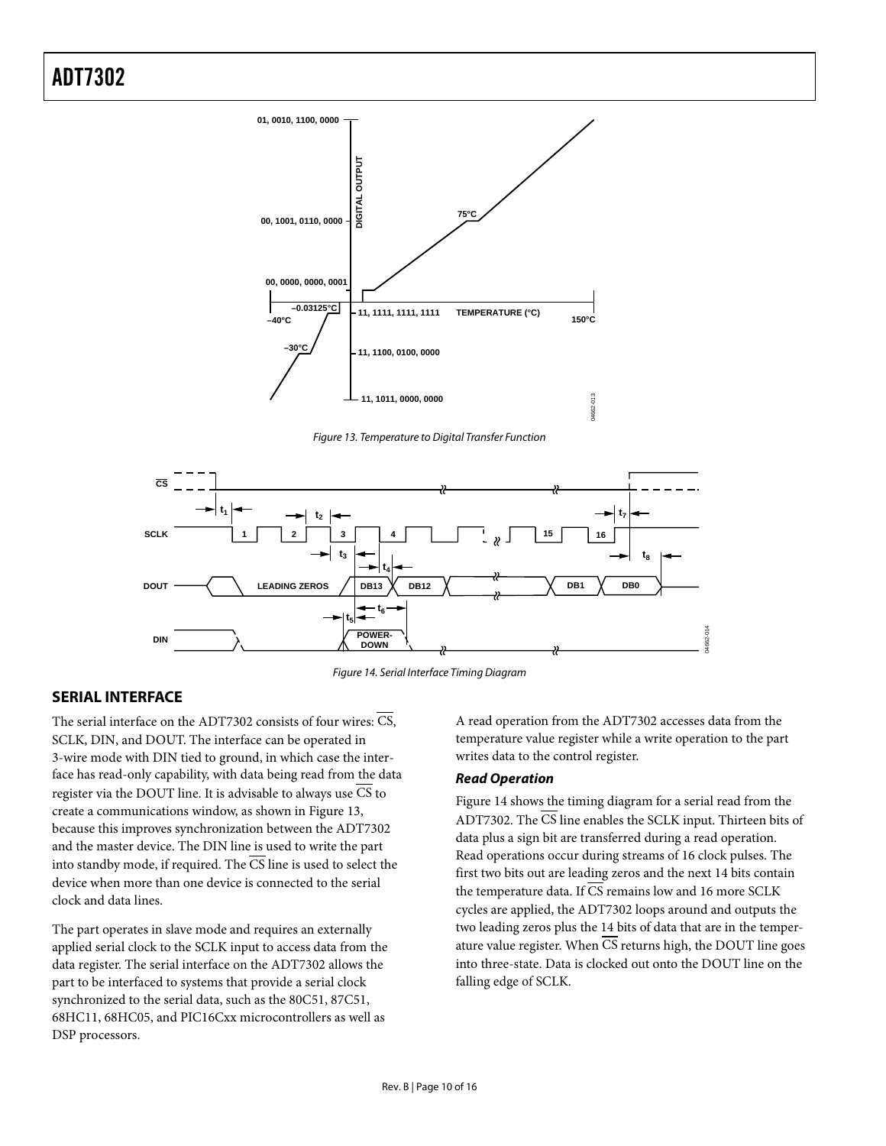

*Figure 13. Temperature to Digital Transfer Function*

<span id="page-10-2"></span>

*Figure 14. Serial Interface Timing Diagram*

### <span id="page-10-1"></span><span id="page-10-0"></span>**SERIAL INTERFACE**

The serial interface on the ADT7302 consists of four wires: CS, SCLK, DIN, and DOUT. The interface can be operated in 3-wire mode with DIN tied to ground, in which case the interface has read-only capability, with data being read from the data register via the DOUT line. It is advisable to always use CS to create a communications window, as shown i[n Figure 13,](#page-10-2) because this improves synchronization between the ADT7302 and the master device. The DIN line is used to write the part into standby mode, if required. The  $\overline{\text{CS}}$  line is used to select the device when more than one device is connected to the serial clock and data lines.

The part operates in slave mode and requires an externally applied serial clock to the SCLK input to access data from the data register. The serial interface on the ADT7302 allows the part to be interfaced to systems that provide a serial clock synchronized to the serial data, such as the 80C51, 87C51, 68HC11, 68HC05, and PIC16Cxx microcontrollers as well as DSP processors.

A read operation from the ADT7302 accesses data from the temperature value register while a write operation to the part writes data to the control register.

#### *Read Operation*

[Figure 14](#page-10-1) shows the timing diagram for a serial read from the ADT7302. The CS line enables the SCLK input. Thirteen bits of data plus a sign bit are transferred during a read operation. Read operations occur during streams of 16 clock pulses. The first two bits out are leading zeros and the next 14 bits contain the temperature data. If  $\overline{\text{CS}}$  remains low and 16 more SCLK cycles are applied, the ADT7302 loops around and outputs the two leading zeros plus the 14 bits of data that are in the temperature value register. When CS returns high, the DOUT line goes into three-state. Data is clocked out onto the DOUT line on the falling edge of SCLK.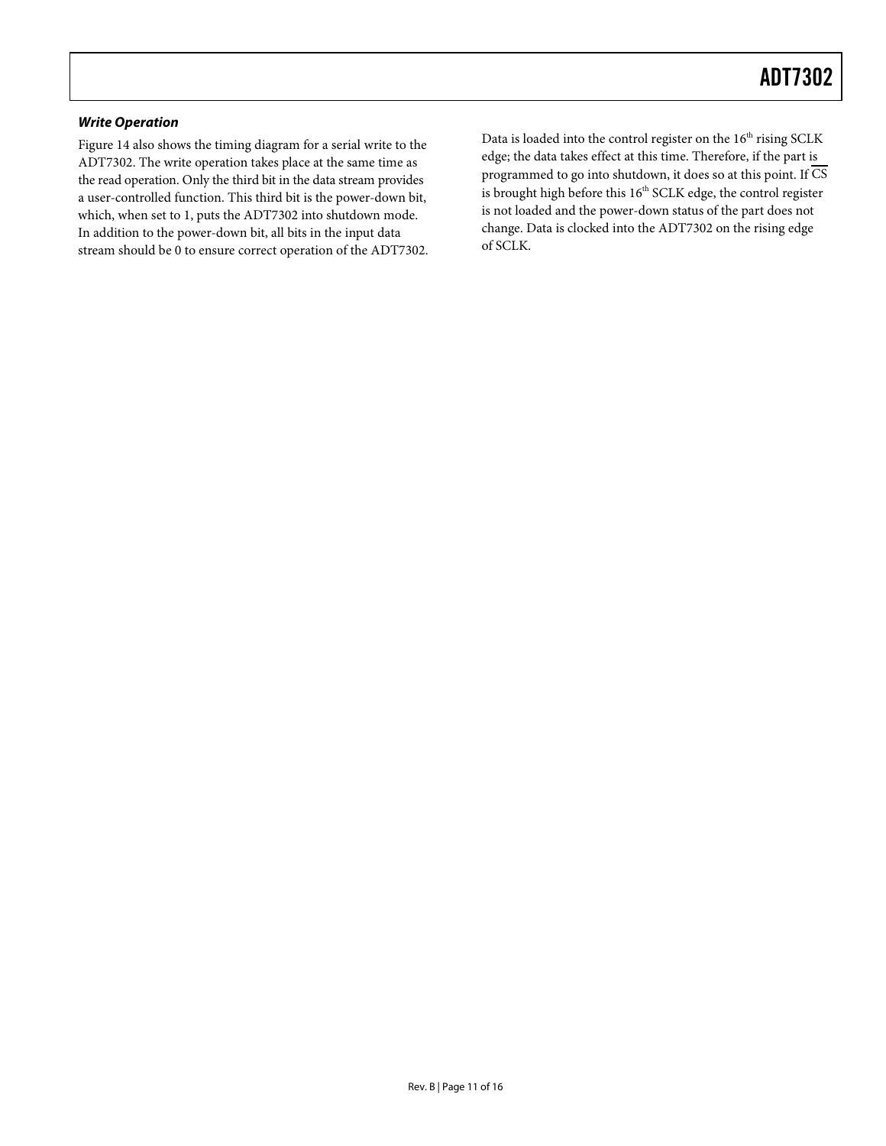#### *Write Operation*

[Figure 14](#page-10-1) also shows the timing diagram for a serial write to the ADT7302. The write operation takes place at the same time as the read operation. Only the third bit in the data stream provides a user-controlled function. This third bit is the power-down bit, which, when set to 1, puts the ADT7302 into shutdown mode. In addition to the power-down bit, all bits in the input data stream should be 0 to ensure correct operation of the ADT7302.

Data is loaded into the control register on the 16<sup>th</sup> rising SCLK edge; the data takes effect at this time. Therefore, if the part is programmed to go into shutdown, it does so at this point. If  $\overline{\text{CS}}$ is brought high before this  $16<sup>th</sup>$  SCLK edge, the control register is not loaded and the power-down status of the part does not change. Data is clocked into the ADT7302 on the rising edge of SCLK.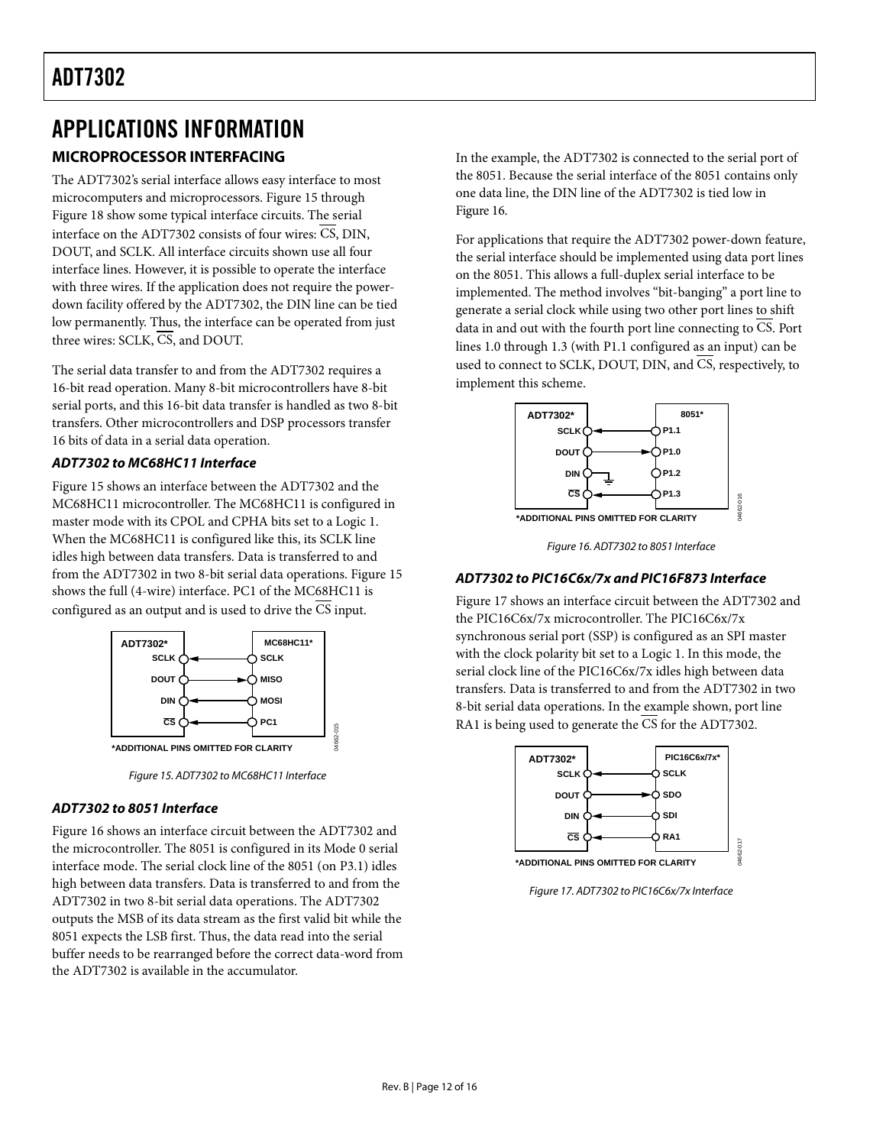# <span id="page-12-0"></span>APPLICATIONS INFORMATION

### <span id="page-12-1"></span>**MICROPROCESSOR INTERFACING**

The ADT7302's serial interface allows easy interface to most microcomputers and microprocessors. [Figure 15](#page-12-2) through [Figure](#page-14-2) 18 show some typical interface circuits. The serial interface on the ADT7302 consists of four wires: CS, DIN, DOUT, and SCLK. All interface circuits shown use all four interface lines. However, it is possible to operate the interface with three wires. If the application does not require the powerdown facility offered by the ADT7302, the DIN line can be tied low permanently. Thus, the interface can be operated from just three wires: SCLK, CS, and DOUT.

The serial data transfer to and from the ADT7302 requires a 16-bit read operation. Many 8-bit microcontrollers have 8-bit serial ports, and this 16-bit data transfer is handled as two 8-bit transfers. Other microcontrollers and DSP processors transfer 16 bits of data in a serial data operation.

### *ADT7302 to MC68HC11 Interface*

[Figure 15](#page-12-2) shows an interface between the ADT7302 and the MC68HC11 microcontroller. The MC68HC11 is configured in master mode with its CPOL and CPHA bits set to a Logic 1. When the MC68HC11 is configured like this, its SCLK line idles high between data transfers. Data is transferred to and from the ADT7302 in two 8-bit serial data operations[. Figure 15](#page-12-2) shows the full (4-wire) interface. PC1 of the MC68HC11 is configured as an output and is used to drive the CS input.



*Figure 15. ADT7302 to MC68HC11 Interface*

#### <span id="page-12-2"></span>*ADT7302 to 8051 Interface*

[Figure](#page-12-3) 16 shows an interface circuit between the ADT7302 and the microcontroller. The 8051 is configured in its Mode 0 serial interface mode. The serial clock line of the 8051 (on P3.1) idles high between data transfers. Data is transferred to and from the ADT7302 in two 8-bit serial data operations. The ADT7302 outputs the MSB of its data stream as the first valid bit while the 8051 expects the LSB first. Thus, the data read into the serial buffer needs to be rearranged before the correct data-word from the ADT7302 is available in the accumulator.

In the example, the ADT7302 is connected to the serial port of the 8051. Because the serial interface of the 8051 contains only one data line, the DIN line of the ADT7302 is tied low in [Figure](#page-12-3) 16.

For applications that require the ADT7302 power-down feature, the serial interface should be implemented using data port lines on the 8051. This allows a full-duplex serial interface to be implemented. The method involves "bit-banging" a port line to generate a serial clock while using two other port lines to shift data in and out with the fourth port line connecting to CS. Port lines 1.0 through 1.3 (with P1.1 configured as an input) can be used to connect to SCLK, DOUT, DIN, and  $\overline{\text{CS}}$ , respectively, to implement this scheme.



*Figure 16. ADT7302 to 8051 Interface*

### <span id="page-12-3"></span>*ADT7302 to PIC16C6x/7x and PIC16F873 Interface*

[Figure 17](#page-12-4) shows an interface circuit between the ADT7302 and the PIC16C6x/7x microcontroller. The PIC16C6x/7x synchronous serial port (SSP) is configured as an SPI master with the clock polarity bit set to a Logic 1. In this mode, the serial clock line of the PIC16C6x/7x idles high between data transfers. Data is transferred to and from the ADT7302 in two 8-bit serial data operations. In the example shown, port line RA1 is being used to generate the  $\overline{\text{CS}}$  for the ADT7302.



<span id="page-12-4"></span>*Figure 17. ADT7302 to PIC16C6x/7x Interface*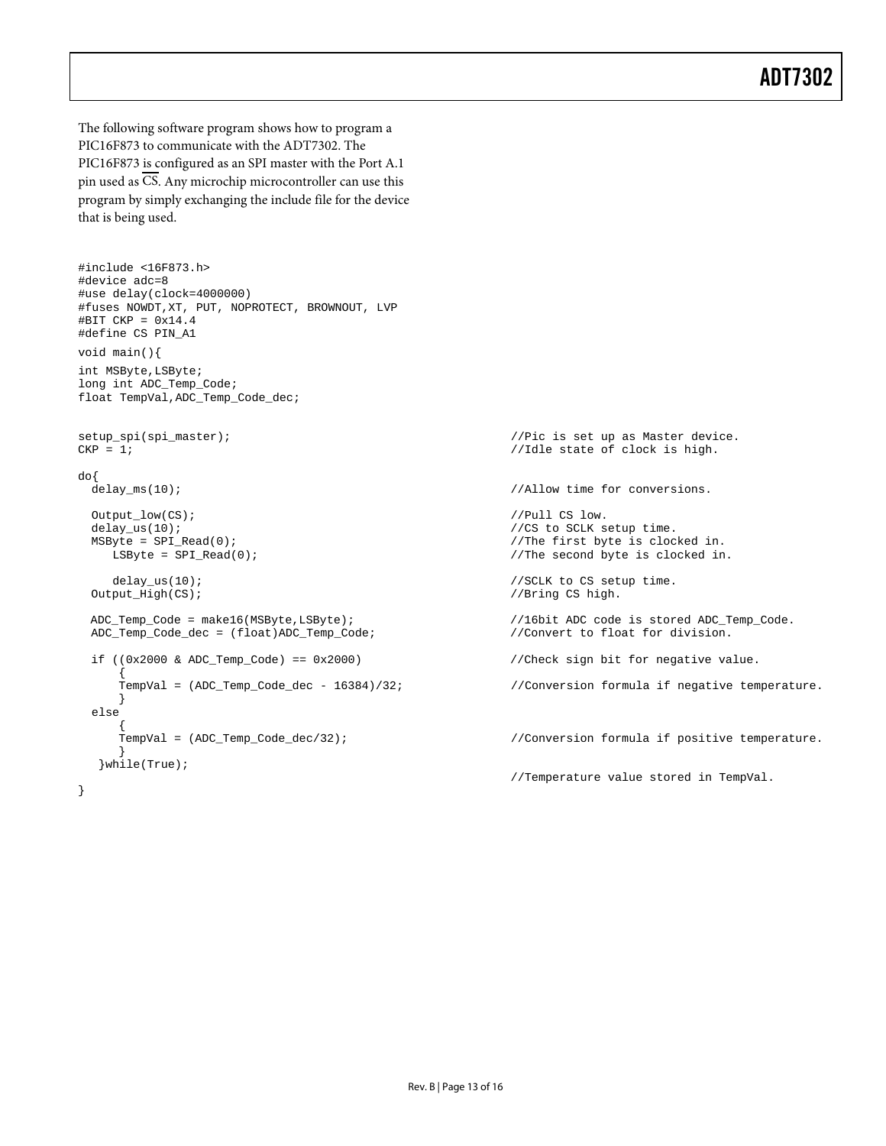The following software program shows how to program a PIC16F873 to communicate with the ADT7302. The PIC16F873 is configured as an SPI master with the Port A.1 pin used as CS. Any microchip microcontroller can use this program by simply exchanging the include file for the device that is being used.

```
#include <16F873.h>
#device adc=8
#use delay(clock=4000000)
#fuses NOWDT,XT, PUT, NOPROTECT, BROWNOUT, LVP
#BIT CKP = 0x14.4 
#define CS PIN_A1
void main(){
int MSByte,LSByte;
long int ADC_Temp_Code;
float TempVal,ADC_Temp_Code_dec;
setup_spi(spi_master);<br>
CKP = 1;<br>
(CKP = 1;<br>
(CKP = 1)
\text{do}\{\text{delay}_\text{ms}(10)\}\\begin{array}{lll} \texttt{Output\_low}(\texttt{CS}): & & \texttt{ // Pull CS low.} \\ \texttt{delay\_us(10)}: & & \texttt{ // CS to SCLK s} \end{array}delay_us(10);<br>MSByte = SPI_Read(0);<br>\frac{1}{\sqrt{2}} //The first byte is cloc
     MSByte = SPI_Read(0); //The first byte is clocked in. 
  delay_us(10);<br>0 \times \text{depth}(\text{CS});<br>0 \times \text{depth}(\text{CS});<br>0 \times \text{depth}(\text{CS});<br>0 \times \text{depth}(\text{CS});
 ADC_Temp_Code = make16(MSByte,LSByte);<br>ADC_Temp_Code_dec = (float)ADC_Temp_Code;<br>//Convert to float for division.
  ADC_Temp\_Code\_dec = (float)ADC_Temp\_Code;if ((0x2000 & ADC_Temp_Code) == 0x2000) //Check sign bit for negative value.
      TempVal = (ADC_Temp\_Code\_dec - 16384)/32i}
  else
      \overline{\text{TempVal}} = (\text{ADC\_Temp\_Code\_dec}/32);} 
   }while(True);
}
```
//Idle state of clock is high. //Allow time for conversions.  $//$ The second byte is clocked in. //Bring CS high. //Conversion formula if negative temperature. //Conversion formula if positive temperature. //Temperature value stored in TempVal.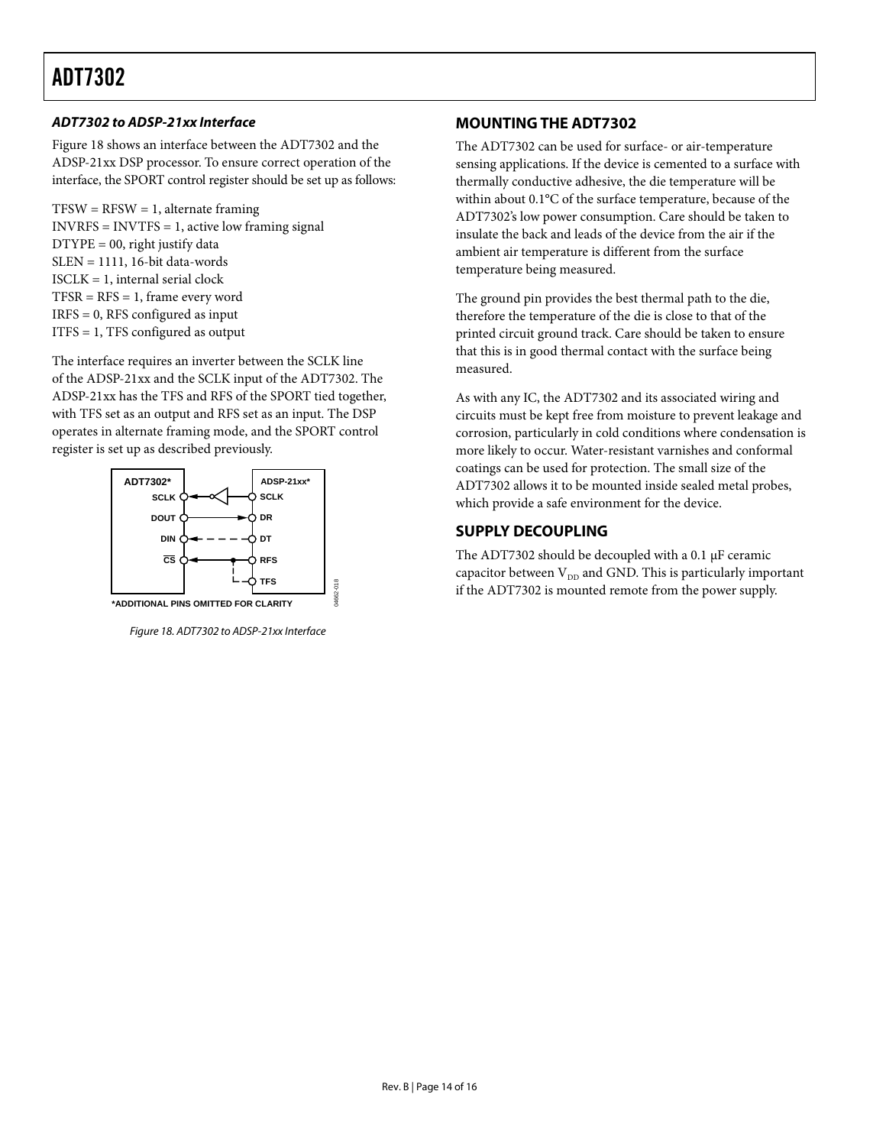### *ADT7302 to ADSP-21xx Interface*

[Figure](#page-14-2) 18 shows an interface between the ADT7302 and the ADSP-21xx DSP processor. To ensure correct operation of the interface, the SPORT control register should be set up as follows:

 $TFSW = RFSW = 1$ , alternate framing  $INVRFS = INVTFS = 1$ , active low framing signal  $D$ *TYPE* = 00, right justify data SLEN = 1111, 16-bit data-words ISCLK = 1, internal serial clock  $TFSR = RFS = 1$ , frame every word IRFS = 0, RFS configured as input ITFS = 1, TFS configured as output

The interface requires an inverter between the SCLK line of the ADSP-21xx and the SCLK input of the ADT7302. The ADSP-21xx has the TFS and RFS of the SPORT tied together, with TFS set as an output and RFS set as an input. The DSP operates in alternate framing mode, and the SPORT control register is set up as described previously.



<span id="page-14-2"></span>*Figure 18. ADT7302 to ADSP-21xx Interface*

04662-018

### <span id="page-14-0"></span>**MOUNTINGTHE ADT7302**

The ADT7302 can be used for surface- or air-temperature sensing applications. If the device is cemented to a surface with thermally conductive adhesive, the die temperature will be within about 0.1°C of the surface temperature, because of the ADT7302's low power consumption. Care should be taken to insulate the back and leads of the device from the air if the ambient air temperature is different from the surface temperature being measured.

The ground pin provides the best thermal path to the die, therefore the temperature of the die is close to that of the printed circuit ground track. Care should be taken to ensure that this is in good thermal contact with the surface being measured.

As with any IC, the ADT7302 and its associated wiring and circuits must be kept free from moisture to prevent leakage and corrosion, particularly in cold conditions where condensation is more likely to occur. Water-resistant varnishes and conformal coatings can be used for protection. The small size of the ADT7302 allows it to be mounted inside sealed metal probes, which provide a safe environment for the device.

### <span id="page-14-1"></span>**SUPPLY DECOUPLING**

The ADT7302 should be decoupled with a 0.1 µF ceramic capacitor between  $V_{DD}$  and GND. This is particularly important if the ADT7302 is mounted remote from the power supply.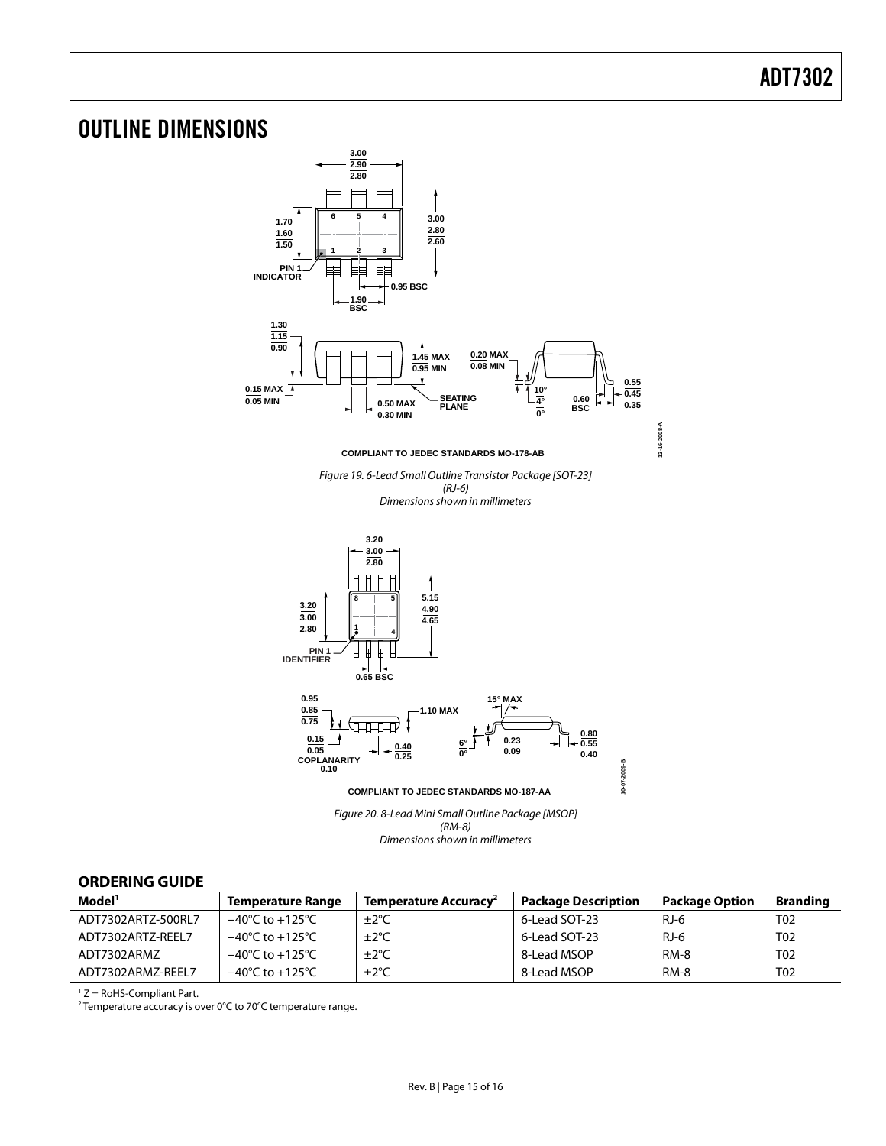### <span id="page-15-0"></span>OUTLINE DIMENSIONS



#### <span id="page-15-1"></span>**ORDERING GUIDE**

| Model <sup>1</sup> | <b>Temperature Range</b>            | Temperature Accuracy <sup>2</sup> | <b>Package Description</b> | <b>Package Option</b> | <b>Branding</b> |
|--------------------|-------------------------------------|-----------------------------------|----------------------------|-----------------------|-----------------|
| ADT7302ARTZ-500RL7 | $-40^{\circ}$ C to $+125^{\circ}$ C | $\pm 2^{\circ}$ C                 | 6-Lead SOT-23              | RJ-6                  | T02             |
| ADT7302ARTZ-REEL7  | $-40^{\circ}$ C to $+125^{\circ}$ C | ±2°C                              | 6-Lead SOT-23              | RJ-6                  | T02             |
| ADT7302ARMZ        | $-40^{\circ}$ C to $+125^{\circ}$ C | $\pm 2^{\circ}$ C                 | 8-Lead MSOP                | RM-8                  | T <sub>02</sub> |
| ADT7302ARMZ-REEL7  | $-40^{\circ}$ C to $+125^{\circ}$ C | ±2°C                              | 8-Lead MSOP                | RM-8                  | T <sub>02</sub> |

 $1 Z =$  RoHS-Compliant Part.

<sup>2</sup> Temperature accuracy is over 0°C to 70°C temperature range.